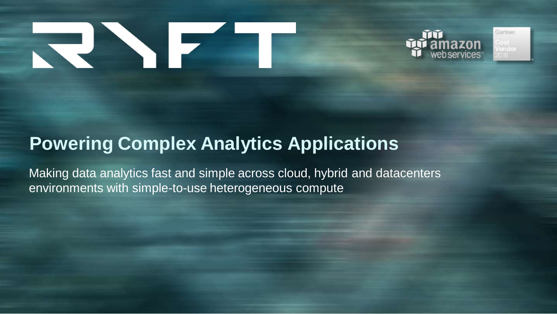# RINE





# **Powering Complex Analytics Applications**

Making data analytics fast and simple across cloud, hybrid and datacenters environments with simple-to-use heterogeneous compute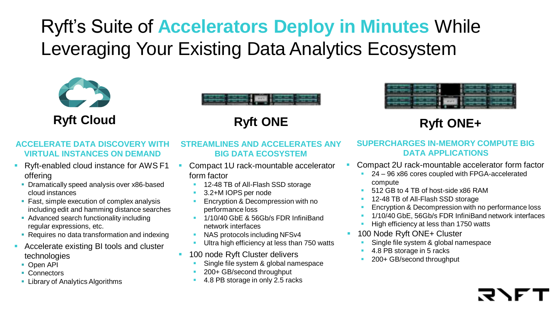# Ryft's Suite of **Accelerators Deploy in Minutes** While Leveraging Your Existing Data Analytics Ecosystem







**Ryft Cloud Ryft ONE Ryft ONE+**

### **ACCELERATE DATA DISCOVERY WITH VIRTUAL INSTANCES ON DEMAND**

- Ryft-enabled cloud instance for AWS F1 offering
- **Dramatically speed analysis over x86-based** cloud instances
- **Fast, simple execution of complex analysis** including edit and hamming distance searches
- Advanced search functionality including regular expressions, etc.
- Requires no data transformation and indexing
- Accelerate existing BI tools and cluster technologies
	- Open API
	- **Connectors**
	- **Library of Analytics Algorithms**

### **STREAMLINES AND ACCELERATES ANY BIG DATA ECOSYSTEM**

- Compact 1U rack-mountable accelerator form factor
	- 12-48 TB of All-Flash SSD storage
	- 3.2+M IOPS per node
	- Encryption & Decompression with no performance loss
	- <sup>1</sup> 1/10/40 GbE & 56Gb/s FDR InfiniBand network interfaces
	- NAS protocols including NFSv4
	- Ultra high efficiency at less than 750 watts
- **100 node Ryft Cluster delivers** 
	- Single file system & global namespace
	- 200+ GB/second throughput
	- 4.8 PB storage in only 2.5 racks

### **SUPERCHARGES IN-MEMORY COMPUTE BIG DATA APPLICATIONS**

- Compact 2U rack-mountable accelerator form factor
	- 24 96 x86 cores coupled with FPGA-accelerated compute
	- 512 GB to 4 TB of host-side x86 RAM
	- 12-48 TB of All-Flash SSD storage
	- Encryption & Decompression with no performance loss
	- 1/10/40 GbE, 56Gb/s FDR InfiniBand network interfaces
	- High efficiency at less than 1750 watts
- 100 Node Ryft ONE+ Cluster
	- Single file system & global namespace
	- 4.8 PB storage in 5 racks
	- 200+ GB/second throughput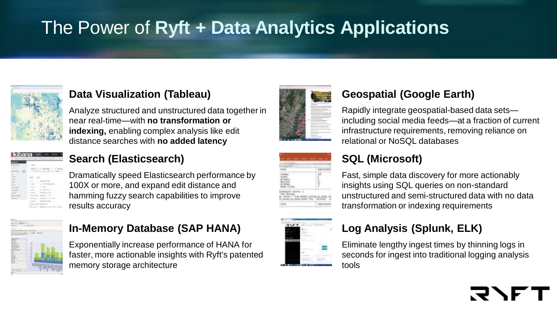# The Power of **Ryft + Data Analytics Applications**



### **Data Visualization (Tableau)**

Analyze structured and unstructured data together in near real-time—with **no transformation or indexing,** enabling complex analysis like edit distance searches with **no added latency**

# **Search (Elasticsearch)**

Dramatically speed Elasticsearch performance by 100X or more, and expand edit distance and hamming fuzzy search capabilities to improve results accuracy



## **In-Memory Database (SAP HANA)**

Exponentially increase performance of HANA for faster, more actionable insights with Ryft's patented memory storage architecture



# **Geospatial (Google Earth)**

Rapidly integrate geospatial-based data sets including social media feeds—at a fraction of current infrastructure requirements, removing reliance on relational or NoSQL databases

# **SQL (Microsoft)**

Fast, simple data discovery for more actionably insights using SQL queries on non-standard unstructured and semi-structured data with no data transformation or indexing requirements



## **Log Analysis (Splunk, ELK)**

Eliminate lengthy ingest times by thinning logs in seconds for ingest into traditional logging analysis tools

# ヌヘ